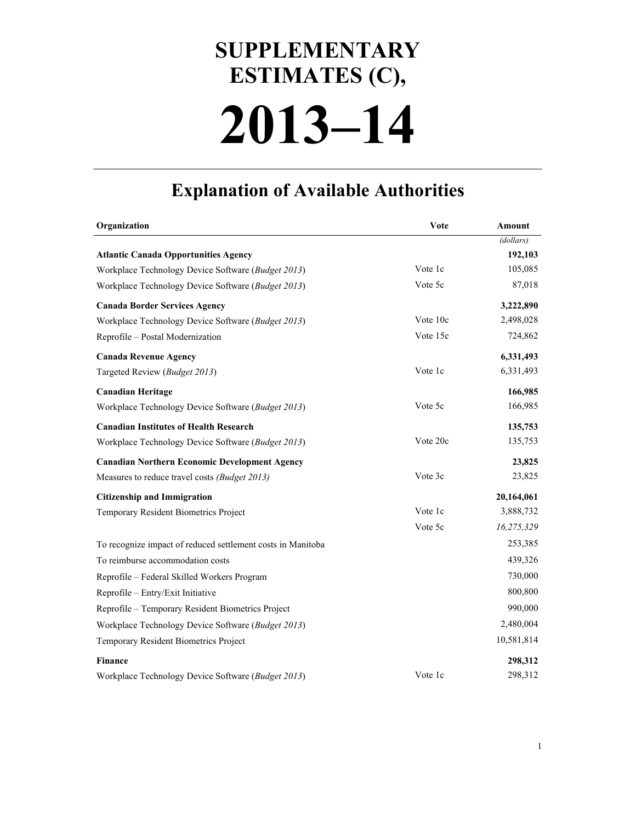## **2013–14 SUPPLEMENTARY ESTIMATES (C),**

## **Explanation of Available Authorities**

| Organization                                                | Vote     | Amount     |
|-------------------------------------------------------------|----------|------------|
|                                                             |          | (dollars)  |
| <b>Atlantic Canada Opportunities Agency</b>                 |          | 192,103    |
| Workplace Technology Device Software (Budget 2013)          | Vote 1c  | 105,085    |
| Workplace Technology Device Software (Budget 2013)          | Vote 5c  | 87,018     |
| <b>Canada Border Services Agency</b>                        |          | 3,222,890  |
| Workplace Technology Device Software (Budget 2013)          | Vote 10c | 2,498,028  |
| Reprofile - Postal Modernization                            | Vote 15c | 724,862    |
| <b>Canada Revenue Agency</b>                                |          | 6,331,493  |
| Targeted Review ( <i>Budget 2013</i> )                      | Vote 1c  | 6,331,493  |
| <b>Canadian Heritage</b>                                    |          | 166,985    |
| Workplace Technology Device Software (Budget 2013)          | Vote 5c  | 166,985    |
| <b>Canadian Institutes of Health Research</b>               |          | 135,753    |
| Workplace Technology Device Software (Budget 2013)          | Vote 20c | 135,753    |
| <b>Canadian Northern Economic Development Agency</b>        |          | 23,825     |
| Measures to reduce travel costs (Budget 2013)               | Vote 3c  | 23,825     |
| <b>Citizenship and Immigration</b>                          |          | 20,164,061 |
| Temporary Resident Biometrics Project                       | Vote 1c  | 3,888,732  |
|                                                             | Vote 5c  | 16,275,329 |
| To recognize impact of reduced settlement costs in Manitoba |          | 253,385    |
| To reimburse accommodation costs                            |          | 439,326    |
| Reprofile - Federal Skilled Workers Program                 |          | 730,000    |
| Reprofile - Entry/Exit Initiative                           |          | 800,800    |
| Reprofile – Temporary Resident Biometrics Project           |          | 990,000    |
| Workplace Technology Device Software (Budget 2013)          |          | 2,480,004  |
| Temporary Resident Biometrics Project                       |          | 10,581,814 |
| <b>Finance</b>                                              |          | 298,312    |
| Workplace Technology Device Software (Budget 2013)          | Vote 1c  | 298,312    |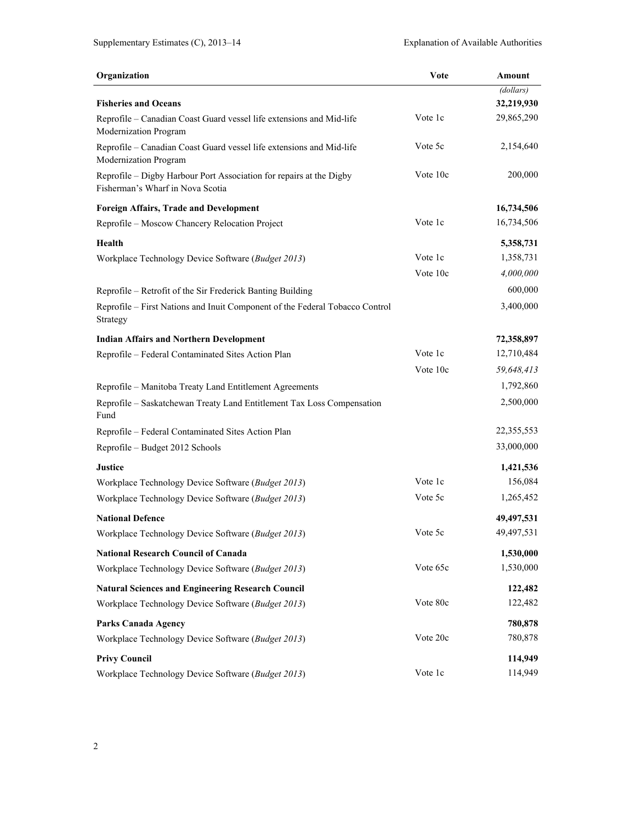| Organization                                                                                            | Vote     | Amount     |
|---------------------------------------------------------------------------------------------------------|----------|------------|
|                                                                                                         |          | (dollars)  |
| <b>Fisheries and Oceans</b>                                                                             |          | 32,219,930 |
| Reprofile - Canadian Coast Guard vessel life extensions and Mid-life<br>Modernization Program           | Vote 1c  | 29,865,290 |
| Reprofile - Canadian Coast Guard vessel life extensions and Mid-life<br>Modernization Program           | Vote 5c  | 2,154,640  |
| Reprofile - Digby Harbour Port Association for repairs at the Digby<br>Fisherman's Wharf in Nova Scotia | Vote 10c | 200,000    |
| <b>Foreign Affairs, Trade and Development</b>                                                           |          | 16,734,506 |
| Reprofile - Moscow Chancery Relocation Project                                                          | Vote 1c  | 16,734,506 |
| Health                                                                                                  |          | 5,358,731  |
| Workplace Technology Device Software (Budget 2013)                                                      | Vote 1c  | 1,358,731  |
|                                                                                                         | Vote 10c | 4,000,000  |
| Reprofile – Retrofit of the Sir Frederick Banting Building                                              |          | 600,000    |
| Reprofile - First Nations and Inuit Component of the Federal Tobacco Control<br>Strategy                |          | 3,400,000  |
| <b>Indian Affairs and Northern Development</b>                                                          |          | 72,358,897 |
| Reprofile – Federal Contaminated Sites Action Plan                                                      | Vote 1c  | 12,710,484 |
|                                                                                                         | Vote 10c | 59,648,413 |
| Reprofile – Manitoba Treaty Land Entitlement Agreements                                                 |          | 1,792,860  |
| Reprofile – Saskatchewan Treaty Land Entitlement Tax Loss Compensation<br>Fund                          |          | 2,500,000  |
| Reprofile - Federal Contaminated Sites Action Plan                                                      |          | 22,355,553 |
| Reprofile - Budget 2012 Schools                                                                         |          | 33,000,000 |
| <b>Justice</b>                                                                                          |          | 1,421,536  |
| Workplace Technology Device Software (Budget 2013)                                                      | Vote 1c  | 156,084    |
| Workplace Technology Device Software (Budget 2013)                                                      | Vote 5c  | 1,265,452  |
| <b>National Defence</b>                                                                                 |          | 49,497,531 |
| Workplace Technology Device Software (Budget 2013)                                                      | Vote 5c  | 49,497,531 |
| <b>National Research Council of Canada</b>                                                              |          | 1,530,000  |
| Workplace Technology Device Software (Budget 2013)                                                      | Vote 65c | 1,530,000  |
| <b>Natural Sciences and Engineering Research Council</b>                                                |          | 122,482    |
| Workplace Technology Device Software (Budget 2013)                                                      | Vote 80c | 122,482    |
| <b>Parks Canada Agency</b>                                                                              |          | 780,878    |
| Workplace Technology Device Software (Budget 2013)                                                      | Vote 20c | 780,878    |
| <b>Privy Council</b>                                                                                    |          | 114,949    |
| Workplace Technology Device Software (Budget 2013)                                                      | Vote 1c  | 114,949    |